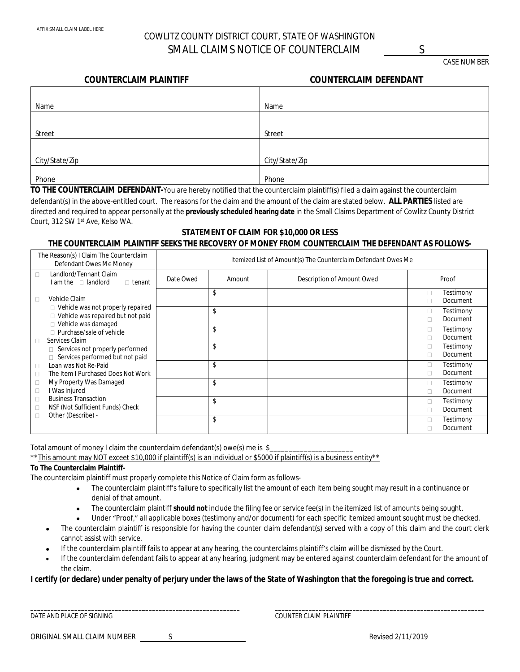# COWLITZ COUNTY DISTRICT COURT, STATE OF WASHINGTON SMALL CLAIMS NOTICE OF COUNTERCLAIM S

CASE NUMBER

### **COUNTERCLAIM PLAINTIFF COUNTERCLAIM DEFENDANT**

| <b>COUNTERCLAIM DEFENDANT</b> |  |
|-------------------------------|--|
|-------------------------------|--|

| Name           | Name           |
|----------------|----------------|
|                |                |
| Street         | Street         |
|                |                |
| City/State/Zip | City/State/Zip |
|                |                |
| Phone          | Phone          |

**TO THE COUNTERCLAIM DEFENDANT-**You are hereby notified that the counterclaim plaintiff(s) filed a claim against the counterclaim defendant(s) in the above-entitled court. The reasons for the claim and the amount of the claim are stated below. **ALL PARTIES** listed are directed and required to appear personally at the **previously scheduled hearing date** in the Small Claims Department of Cowlitz County District Court, 312 SW 1st Ave, Kelso WA.

# **STATEMENT OF CLAIM FOR \$10,000 OR LESS THE COUNTERCLAIM PLAINTIFF SEEKS THE RECOVERY OF MONEY FROM COUNTERCLAIM THE DEFENDANT AS FOLLOWS-**

| The Reason(s) I Claim The Counterclaim<br>Defendant Owes Me Money                                              | Itemized List of Amount(s) The Counterclaim Defendant Owes Me |        |                            |             |                              |
|----------------------------------------------------------------------------------------------------------------|---------------------------------------------------------------|--------|----------------------------|-------------|------------------------------|
| Landlord/Tennant Claim<br>$\Box$<br>$I$ am the $\Box$ landlord<br>$\Box$ tenant                                | Date Owed                                                     | Amount | Description of Amount Owed |             | Proof                        |
| Vehicle Claim<br>П                                                                                             |                                                               | \$     |                            | 0<br>п      | Testimony<br><b>Document</b> |
| $\Box$ Vehicle was not properly repaired<br>□ Vehicle was repaired but not paid<br>$\Box$ Vehicle was damaged  |                                                               | \$     |                            | П.<br>П     | Testimony<br>Document        |
| □ Purchase/sale of vehicle<br>Services Claim<br>$\Box$                                                         |                                                               | \$     |                            | П.          | Testimony<br>Document        |
| Services not properly performed<br>Services performed but not paid<br>$\Box$                                   |                                                               | \$     |                            | П.<br>П     | Testimony<br>Document        |
| Loan was Not Re-Paid<br>$\Box$<br>The Item I Purchased Does Not Work<br>$\Box$                                 |                                                               | \$     |                            | $\Box$<br>п | Testimony<br>Document        |
| My Property Was Damaged<br>Ω<br>I Was Injured<br>$\Box$                                                        |                                                               | \$     |                            | П.<br>п     | Testimony<br>Document        |
| <b>Business Transaction</b><br>$\Box$<br>NSF (Not Sufficient Funds) Check<br>$\Box$<br>Other (Describe) -<br>П |                                                               | \$     |                            | п<br>П      | Testimony<br>Document        |
|                                                                                                                |                                                               | \$     |                            | П.<br>п     | Testimony<br>Document        |

Total amount of money I claim the counterclaim defendant(s) owe(s) me is \$

\*\* This amount may NOT exceet \$10,000 if plaintiff(s) is an individual or \$5000 if plaintiff(s) is a business entity\*\*

### **To The Counterclaim Plaintiff-**

The counterclaim plaintiff must properly complete this Notice of Claim form as follows-

- The counterclaim plaintiff's failure to specifically list the amount of each item being sought may result in a continuance or denial of that amount.
- The counterclaim plaintiff **should not** include the filing fee or service fee(s) in the itemized list of amounts being sought.
- Under "Proof," all applicable boxes (testimony and/or document) for each specific itemized amount sought must be checked.
- The counterclaim plaintiff is responsible for having the counter claim defendant(s) served with a copy of this claim and the court clerk cannot assist with service.
- If the counterclaim plaintiff fails to appear at any hearing, the counterclaims plaintiff's claim will be dismissed by the Court.
- If the counterclaim defendant fails to appear at any hearing, judgment may be entered against counterclaim defendant for the amount of the claim.

#### **I certify (or declare) under penalty of perjury under the laws of the State of Washington that the foregoing is true and correct.**

**\_\_\_\_\_\_\_\_\_\_\_\_\_\_\_\_\_\_\_\_\_\_\_\_\_\_\_\_\_\_\_\_\_\_\_\_\_\_\_\_\_\_\_\_\_\_\_\_\_\_\_\_\_\_\_\_\_\_\_\_\_\_ \_\_\_\_\_\_\_\_\_\_\_\_\_\_\_\_\_\_\_\_\_\_\_\_\_\_\_\_\_\_\_\_\_\_\_\_\_\_\_\_\_\_\_\_\_\_\_\_\_\_\_\_\_\_\_\_\_\_\_\_\_\_** DATE AND PLACE OF SIGNING COUNTER CLAIM PLAINTIFF

| ORIGINAL SMALL CLAIM NUMBER |  |
|-----------------------------|--|
|                             |  |

S Revised 2/11/2019